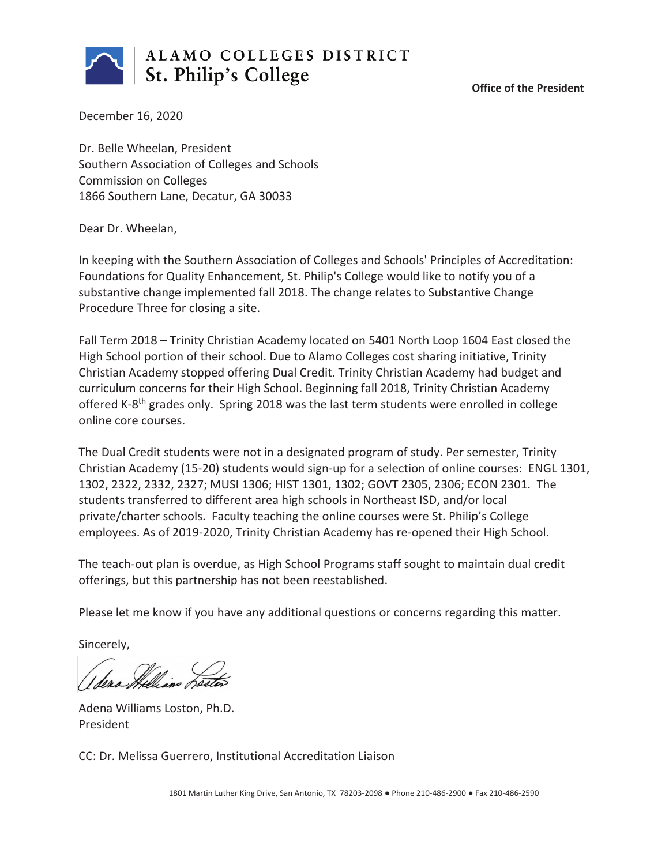

**Office of the President**

December 16, 2020

Dr. Belle Wheelan, President Southern Association of Colleges and Schools Commission on Colleges 1866 Southern Lane, Decatur, GA 30033

Dear Dr. Wheelan,

In keeping with the Southern Association of Colleges and Schools' Principles of Accreditation: Foundations for Quality Enhancement, St. Philip's College would like to notify you of a substantive change implemented fall 2018. The change relates to Substantive Change Procedure Three for closing a site.

Fall Term 2018 – Trinity Christian Academy located on 5401 North Loop 1604 East closed the High School portion of their school. Due to Alamo Colleges cost sharing initiative, Trinity Christian Academy stopped offering Dual Credit. Trinity Christian Academy had budget and curriculum concerns for their High School. Beginning fall 2018, Trinity Christian Academy offered K-8<sup>th</sup> grades only. Spring 2018 was the last term students were enrolled in college online core courses.

The Dual Credit students were not in a designated program of study. Per semester, Trinity Christian Academy (15-20) students would sign-up for a selection of online courses: ENGL 1301, 1302, 2322, 2332, 2327; MUSI 1306; HIST 1301, 1302; GOVT 2305, 2306; ECON 2301. The students transferred to different area high schools in Northeast ISD, and/or local private/charter schools. Faculty teaching the online courses were St. Philip's College employees. As of 2019-2020, Trinity Christian Academy has re-opened their High School.

The teach-out plan is overdue, as High School Programs staff sought to maintain dual credit offerings, but this partnership has not been reestablished.

Please let me know if you have any additional questions or concerns regarding this matter.

Sincerely,

Adena Williams Loston, Ph.D. President

CC: Dr. Melissa Guerrero, Institutional Accreditation Liaison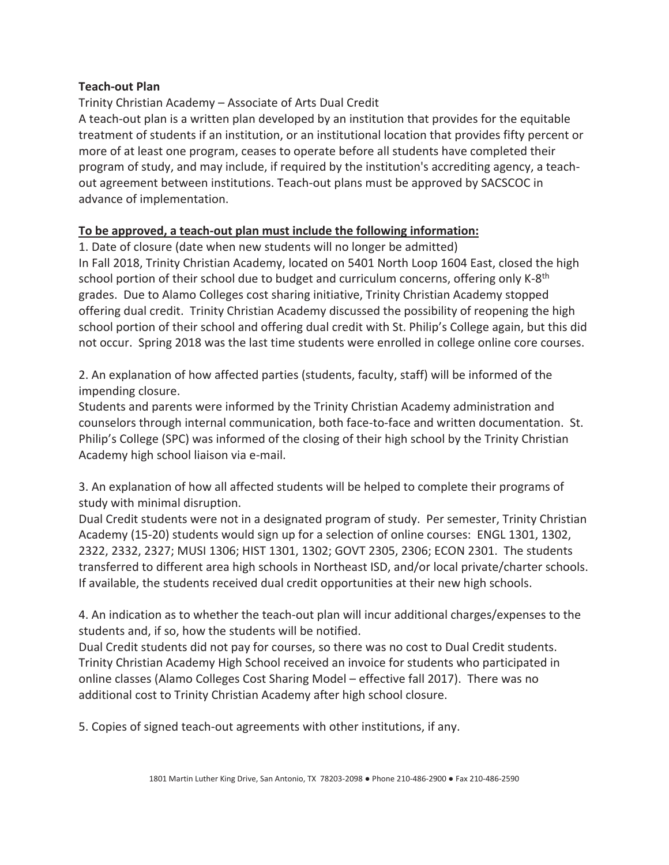## **Teach-out Plan**

## Trinity Christian Academy – Associate of Arts Dual Credit

A teach-out plan is a written plan developed by an institution that provides for the equitable treatment of students if an institution, or an institutional location that provides fifty percent or more of at least one program, ceases to operate before all students have completed their program of study, and may include, if required by the institution's accrediting agency, a teachout agreement between institutions. Teach-out plans must be approved by SACSCOC in advance of implementation.

## **To be approved, a teach-out plan must include the following information:**

1. Date of closure (date when new students will no longer be admitted) In Fall 2018, Trinity Christian Academy, located on 5401 North Loop 1604 East, closed the high school portion of their school due to budget and curriculum concerns, offering only K-8<sup>th</sup> grades. Due to Alamo Colleges cost sharing initiative, Trinity Christian Academy stopped offering dual credit. Trinity Christian Academy discussed the possibility of reopening the high school portion of their school and offering dual credit with St. Philip's College again, but this did not occur. Spring 2018 was the last time students were enrolled in college online core courses.

2. An explanation of how affected parties (students, faculty, staff) will be informed of the impending closure.

Students and parents were informed by the Trinity Christian Academy administration and counselors through internal communication, both face-to-face and written documentation. St. Philip's College (SPC) was informed of the closing of their high school by the Trinity Christian Academy high school liaison via e-mail.

3. An explanation of how all affected students will be helped to complete their programs of study with minimal disruption.

Dual Credit students were not in a designated program of study. Per semester, Trinity Christian Academy (15-20) students would sign up for a selection of online courses: ENGL 1301, 1302, 2322, 2332, 2327; MUSI 1306; HIST 1301, 1302; GOVT 2305, 2306; ECON 2301. The students transferred to different area high schools in Northeast ISD, and/or local private/charter schools. If available, the students received dual credit opportunities at their new high schools.

4. An indication as to whether the teach-out plan will incur additional charges/expenses to the students and, if so, how the students will be notified.

Dual Credit students did not pay for courses, so there was no cost to Dual Credit students. Trinity Christian Academy High School received an invoice for students who participated in online classes (Alamo Colleges Cost Sharing Model – effective fall 2017). There was no additional cost to Trinity Christian Academy after high school closure.

5. Copies of signed teach-out agreements with other institutions, if any.